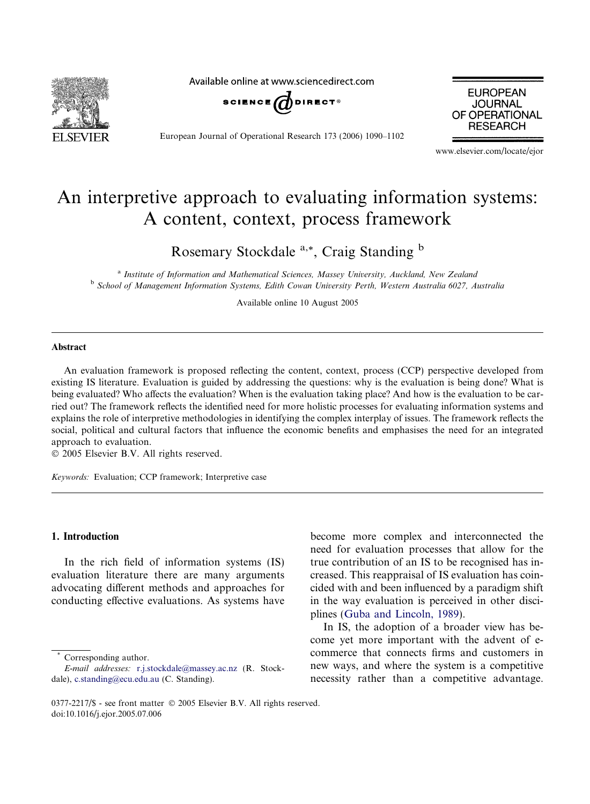

Available online at www.sciencedirect.com



European Journal of Operational Research 173 (2006) 1090–1102



www.elsevier.com/locate/ejor

# An interpretive approach to evaluating information systems: A content, context, process framework

Rosemary Stockdale <sup>a,\*</sup>, Craig Standing <sup>b</sup>

<sup>a</sup> Institute of Information and Mathematical Sciences, Massey University, Auckland, New Zealand <sup>b</sup> School of Management Information Systems, Edith Cowan University Perth, Western Australia 6027, Australia

Available online 10 August 2005

#### Abstract

An evaluation framework is proposed reflecting the content, context, process (CCP) perspective developed from existing IS literature. Evaluation is guided by addressing the questions: why is the evaluation is being done? What is being evaluated? Who affects the evaluation? When is the evaluation taking place? And how is the evaluation to be carried out? The framework reflects the identified need for more holistic processes for evaluating information systems and explains the role of interpretive methodologies in identifying the complex interplay of issues. The framework reflects the social, political and cultural factors that influence the economic benefits and emphasises the need for an integrated approach to evaluation.

© 2005 Elsevier B.V. All rights reserved.

Keywords: Evaluation; CCP framework; Interpretive case

# 1. Introduction

In the rich field of information systems (IS) evaluation literature there are many arguments advocating different methods and approaches for conducting effective evaluations. As systems have become more complex and interconnected the need for evaluation processes that allow for the true contribution of an IS to be recognised has increased. This reappraisal of IS evaluation has coincided with and been influenced by a paradigm shift in the way evaluation is perceived in other disciplines ([Guba and Lincoln, 1989\)](#page-11-0).

In IS, the adoption of a broader view has become yet more important with the advent of ecommerce that connects firms and customers in new ways, and where the system is a competitive necessity rather than a competitive advantage.

Corresponding author.

E-mail addresses: [r.j.stockdale@massey.ac.nz](mailto:r.j.stockdale@massey.ac.nz) (R. Stockdale), [c.standing@ecu.edu.au](mailto:c.standing@ecu.edu.au) (C. Standing).

 $0377 - 2217$ /\$ - see front matter  $\odot$  2005 Elsevier B.V. All rights reserved. doi:10.1016/j.ejor.2005.07.006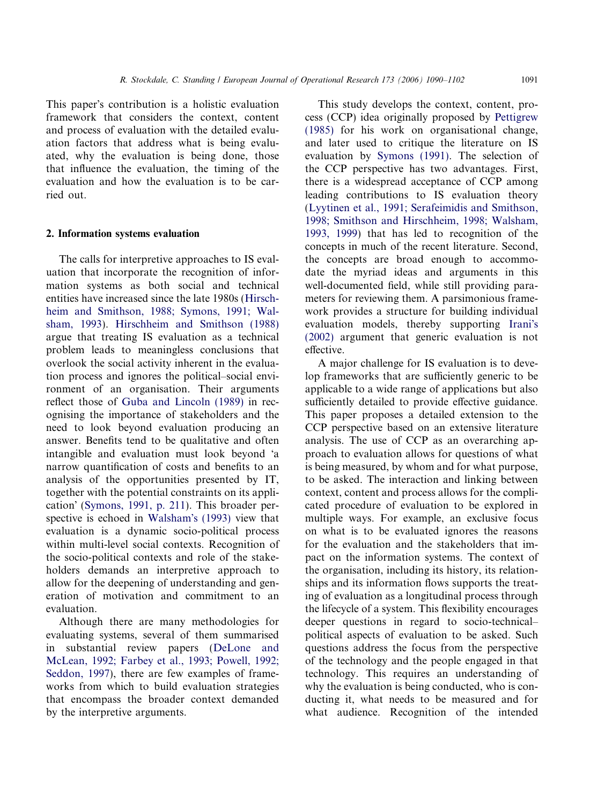This paper's contribution is a holistic evaluation framework that considers the context, content and process of evaluation with the detailed evaluation factors that address what is being evaluated, why the evaluation is being done, those that influence the evaluation, the timing of the evaluation and how the evaluation is to be carried out.

#### 2. Information systems evaluation

The calls for interpretive approaches to IS evaluation that incorporate the recognition of information systems as both social and technical entities have increased since the late 1980s ([Hirsch](#page-11-0)[heim and Smithson, 1988; Symons, 1991; Wal](#page-11-0)[sham, 1993](#page-11-0)). [Hirschheim and Smithson \(1988\)](#page-11-0) argue that treating IS evaluation as a technical problem leads to meaningless conclusions that overlook the social activity inherent in the evaluation process and ignores the political–social environment of an organisation. Their arguments reflect those of [Guba and Lincoln \(1989\)](#page-11-0) in recognising the importance of stakeholders and the need to look beyond evaluation producing an answer. Benefits tend to be qualitative and often intangible and evaluation must look beyond 'a narrow quantification of costs and benefits to an analysis of the opportunities presented by IT, together with the potential constraints on its appli-cation' [\(Symons, 1991, p. 211](#page-12-0)). This broader per-spective is echoed in [Walsham](#page-12-0)'s (1993) view that evaluation is a dynamic socio-political process within multi-level social contexts. Recognition of the socio-political contexts and role of the stakeholders demands an interpretive approach to allow for the deepening of understanding and generation of motivation and commitment to an evaluation.

Although there are many methodologies for evaluating systems, several of them summarised in substantial review papers ([DeLone and](#page-11-0) [McLean, 1992; Farbey et al., 1993; Powell, 1992;](#page-11-0) [Seddon, 1997](#page-11-0)), there are few examples of frameworks from which to build evaluation strategies that encompass the broader context demanded by the interpretive arguments.

This study develops the context, content, process (CCP) idea originally proposed by [Pettigrew](#page-11-0) [\(1985\)](#page-11-0) for his work on organisational change, and later used to critique the literature on IS evaluation by [Symons \(1991\)](#page-12-0). The selection of the CCP perspective has two advantages. First, there is a widespread acceptance of CCP among leading contributions to IS evaluation theory ([Lyytinen et al., 1991; Serafeimidis and Smithson,](#page-11-0) [1998; Smithson and Hirschheim, 1998; Walsham,](#page-11-0) [1993, 1999](#page-11-0)) that has led to recognition of the concepts in much of the recent literature. Second, the concepts are broad enough to accommodate the myriad ideas and arguments in this well-documented field, while still providing parameters for reviewing them. A parsimonious framework provides a structure for building individual evaluation models, thereby supporting [Irani](#page-11-0)'s [\(2002\)](#page-11-0) argument that generic evaluation is not effective.

A major challenge for IS evaluation is to develop frameworks that are sufficiently generic to be applicable to a wide range of applications but also sufficiently detailed to provide effective guidance. This paper proposes a detailed extension to the CCP perspective based on an extensive literature analysis. The use of CCP as an overarching approach to evaluation allows for questions of what is being measured, by whom and for what purpose, to be asked. The interaction and linking between context, content and process allows for the complicated procedure of evaluation to be explored in multiple ways. For example, an exclusive focus on what is to be evaluated ignores the reasons for the evaluation and the stakeholders that impact on the information systems. The context of the organisation, including its history, its relationships and its information flows supports the treating of evaluation as a longitudinal process through the lifecycle of a system. This flexibility encourages deeper questions in regard to socio-technical– political aspects of evaluation to be asked. Such questions address the focus from the perspective of the technology and the people engaged in that technology. This requires an understanding of why the evaluation is being conducted, who is conducting it, what needs to be measured and for what audience. Recognition of the intended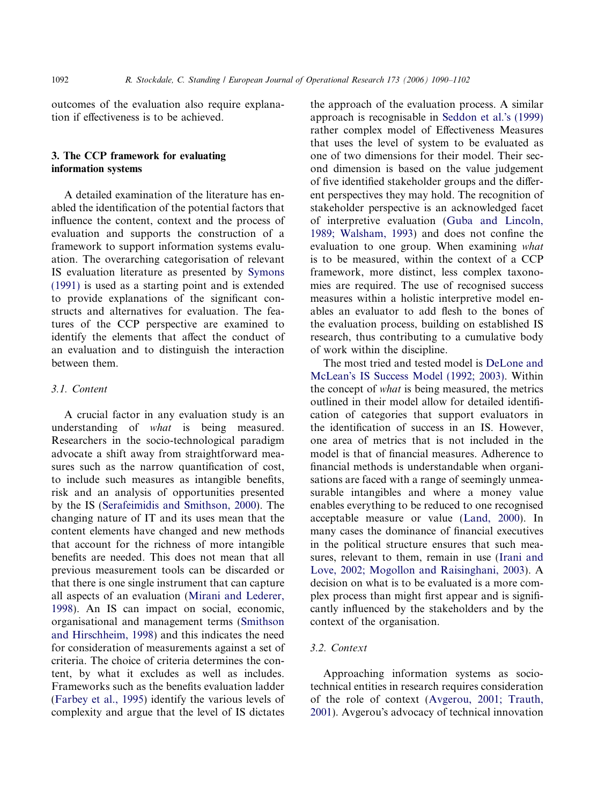outcomes of the evaluation also require explanation if effectiveness is to be achieved.

# 3. The CCP framework for evaluating information systems

A detailed examination of the literature has enabled the identification of the potential factors that influence the content, context and the process of evaluation and supports the construction of a framework to support information systems evaluation. The overarching categorisation of relevant IS evaluation literature as presented by [Symons](#page-12-0) [\(1991\)](#page-12-0) is used as a starting point and is extended to provide explanations of the significant constructs and alternatives for evaluation. The features of the CCP perspective are examined to identify the elements that affect the conduct of an evaluation and to distinguish the interaction between them.

### 3.1. Content

A crucial factor in any evaluation study is an understanding of what is being measured. Researchers in the socio-technological paradigm advocate a shift away from straightforward measures such as the narrow quantification of cost, to include such measures as intangible benefits, risk and an analysis of opportunities presented by the IS ([Serafeimidis and Smithson, 2000](#page-12-0)). The changing nature of IT and its uses mean that the content elements have changed and new methods that account for the richness of more intangible benefits are needed. This does not mean that all previous measurement tools can be discarded or that there is one single instrument that can capture all aspects of an evaluation ([Mirani and Lederer,](#page-11-0) [1998](#page-11-0)). An IS can impact on social, economic, organisational and management terms [\(Smithson](#page-12-0) [and Hirschheim, 1998\)](#page-12-0) and this indicates the need for consideration of measurements against a set of criteria. The choice of criteria determines the content, by what it excludes as well as includes. Frameworks such as the benefits evaluation ladder ([Farbey et al., 1995\)](#page-11-0) identify the various levels of complexity and argue that the level of IS dictates

the approach of the evaluation process. A similar approach is recognisable in [Seddon et al.](#page-12-0)'s (1999) rather complex model of Effectiveness Measures that uses the level of system to be evaluated as one of two dimensions for their model. Their second dimension is based on the value judgement of five identified stakeholder groups and the different perspectives they may hold. The recognition of stakeholder perspective is an acknowledged facet of interpretive evaluation [\(Guba and Lincoln,](#page-11-0) [1989; Walsham, 1993](#page-11-0)) and does not confine the evaluation to one group. When examining what is to be measured, within the context of a CCP framework, more distinct, less complex taxonomies are required. The use of recognised success measures within a holistic interpretive model enables an evaluator to add flesh to the bones of the evaluation process, building on established IS research, thus contributing to a cumulative body of work within the discipline.

The most tried and tested model is [DeLone and](#page-11-0) McLean'[s IS Success Model \(1992; 2003\).](#page-11-0) Within the concept of what is being measured, the metrics outlined in their model allow for detailed identification of categories that support evaluators in the identification of success in an IS. However, one area of metrics that is not included in the model is that of financial measures. Adherence to financial methods is understandable when organisations are faced with a range of seemingly unmeasurable intangibles and where a money value enables everything to be reduced to one recognised acceptable measure or value ([Land, 2000\)](#page-11-0). In many cases the dominance of financial executives in the political structure ensures that such measures, relevant to them, remain in use ([Irani and](#page-11-0) [Love, 2002; Mogollon and Raisinghani, 2003](#page-11-0)). A decision on what is to be evaluated is a more complex process than might first appear and is significantly influenced by the stakeholders and by the context of the organisation.

# 3.2. Context

Approaching information systems as sociotechnical entities in research requires consideration of the role of context ([Avgerou, 2001; Trauth,](#page-10-0) [2001](#page-10-0)). Avgerou's advocacy of technical innovation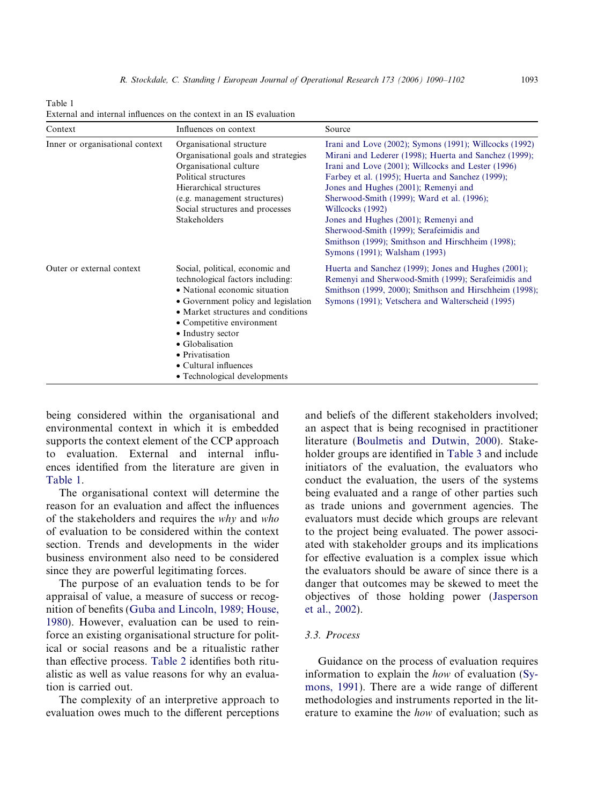| Table 1 |  |                                                                     |  |  |  |  |
|---------|--|---------------------------------------------------------------------|--|--|--|--|
|         |  | External and internal influences on the context in an IS evaluation |  |  |  |  |

| Context                         | Influences on context                                                                                                                                                                                                                                                                                                              | Source                                                                                                                                                                                                                                                                                                                                                                                                                                                                                                              |
|---------------------------------|------------------------------------------------------------------------------------------------------------------------------------------------------------------------------------------------------------------------------------------------------------------------------------------------------------------------------------|---------------------------------------------------------------------------------------------------------------------------------------------------------------------------------------------------------------------------------------------------------------------------------------------------------------------------------------------------------------------------------------------------------------------------------------------------------------------------------------------------------------------|
| Inner or organisational context | Organisational structure<br>Organisational goals and strategies<br>Organisational culture<br>Political structures<br>Hierarchical structures<br>(e.g. management structures)<br>Social structures and processes<br>Stakeholders                                                                                                    | Irani and Love $(2002)$ ; Symons $(1991)$ ; Willcocks $(1992)$<br>Mirani and Lederer (1998); Huerta and Sanchez (1999);<br>Irani and Love (2001); Willcocks and Lester (1996)<br>Farbey et al. (1995); Huerta and Sanchez (1999);<br>Jones and Hughes (2001); Remenyi and<br>Sherwood-Smith (1999); Ward et al. (1996);<br>Willcocks (1992)<br>Jones and Hughes (2001); Remenyi and<br>Sherwood-Smith (1999); Serafeimidis and<br>Smithson (1999); Smithson and Hirschheim (1998);<br>Symons (1991); Walsham (1993) |
| Outer or external context       | Social, political, economic and<br>technological factors including:<br>• National economic situation<br>• Government policy and legislation<br>• Market structures and conditions<br>• Competitive environment<br>• Industry sector<br>• Globalisation<br>• Privatisation<br>• Cultural influences<br>• Technological developments | Huerta and Sanchez (1999); Jones and Hughes (2001);<br>Remenyi and Sherwood-Smith (1999); Serafeimidis and<br>Smithson (1999, 2000); Smithson and Hirschheim (1998);<br>Symons (1991); Vetschera and Walterscheid (1995)                                                                                                                                                                                                                                                                                            |

being considered within the organisational and environmental context in which it is embedded supports the context element of the CCP approach to evaluation. External and internal influences identified from the literature are given in Table 1.

The organisational context will determine the reason for an evaluation and affect the influences of the stakeholders and requires the why and who of evaluation to be considered within the context section. Trends and developments in the wider business environment also need to be considered since they are powerful legitimating forces.

The purpose of an evaluation tends to be for appraisal of value, a measure of success or recognition of benefits ([Guba and Lincoln, 1989; House,](#page-11-0) [1980](#page-11-0)). However, evaluation can be used to reinforce an existing organisational structure for political or social reasons and be a ritualistic rather than effective process. [Table 2](#page-4-0) identifies both ritualistic as well as value reasons for why an evaluation is carried out.

The complexity of an interpretive approach to evaluation owes much to the different perceptions and beliefs of the different stakeholders involved; an aspect that is being recognised in practitioner literature [\(Boulmetis and Dutwin, 2000\)](#page-11-0). Stakeholder groups are identified in [Table 3](#page-5-0) and include initiators of the evaluation, the evaluators who conduct the evaluation, the users of the systems being evaluated and a range of other parties such as trade unions and government agencies. The evaluators must decide which groups are relevant to the project being evaluated. The power associated with stakeholder groups and its implications for effective evaluation is a complex issue which the evaluators should be aware of since there is a danger that outcomes may be skewed to meet the objectives of those holding power ([Jasperson](#page-11-0) [et al., 2002](#page-11-0)).

# 3.3. Process

Guidance on the process of evaluation requires information to explain the how of evaluation ([Sy](#page-12-0)[mons, 1991](#page-12-0)). There are a wide range of different methodologies and instruments reported in the literature to examine the how of evaluation; such as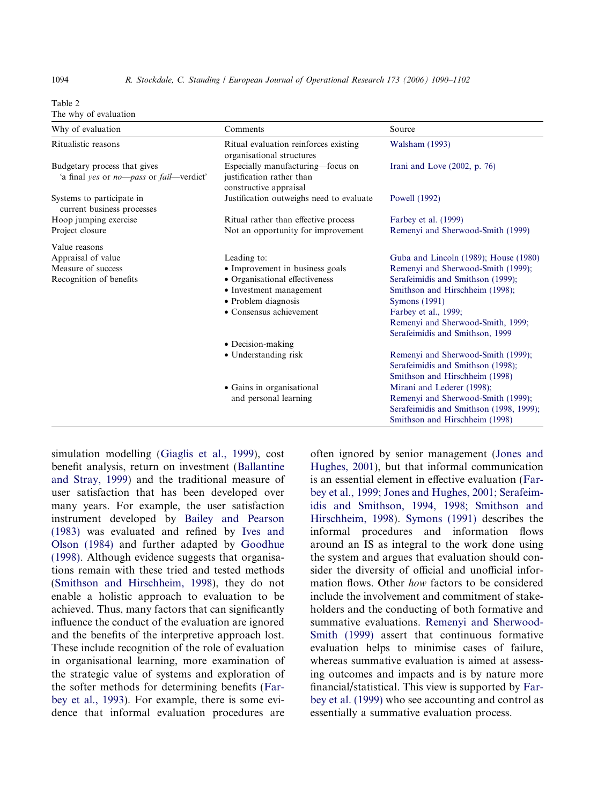<span id="page-4-0"></span>

| Table 2 |                       |
|---------|-----------------------|
|         | The why of evaluation |

| Why of evaluation                                                        | Comments                                                                                 | Source                                  |
|--------------------------------------------------------------------------|------------------------------------------------------------------------------------------|-----------------------------------------|
| Ritualistic reasons                                                      | Ritual evaluation reinforces existing<br>organisational structures                       | <b>Walsham</b> (1993)                   |
| Budgetary process that gives<br>'a final yes or no-pass or fail-verdict' | Especially manufacturing-focus on<br>justification rather than<br>constructive appraisal | Irani and Love $(2002, p. 76)$          |
| Systems to participate in<br>current business processes                  | Justification outweighs need to evaluate                                                 | Powell (1992)                           |
| Hoop jumping exercise                                                    | Ritual rather than effective process                                                     | Farbey et al. (1999)                    |
| Project closure                                                          | Not an opportunity for improvement                                                       | Remenyi and Sherwood-Smith (1999)       |
| Value reasons                                                            |                                                                                          |                                         |
| Appraisal of value                                                       | Leading to:                                                                              | Guba and Lincoln (1989); House (1980)   |
| Measure of success                                                       | • Improvement in business goals                                                          | Remenyi and Sherwood-Smith (1999);      |
| Recognition of benefits                                                  | • Organisational effectiveness                                                           | Serafeimidis and Smithson (1999);       |
|                                                                          | • Investment management                                                                  | Smithson and Hirschheim (1998);         |
|                                                                          | • Problem diagnosis                                                                      | Symons (1991)                           |
|                                                                          | • Consensus achievement                                                                  | Farbey et al., 1999;                    |
|                                                                          |                                                                                          | Remenyi and Sherwood-Smith, 1999;       |
|                                                                          |                                                                                          | Serafeimidis and Smithson, 1999         |
|                                                                          | • Decision-making                                                                        |                                         |
|                                                                          | • Understanding risk                                                                     | Remenyi and Sherwood-Smith (1999);      |
|                                                                          |                                                                                          | Serafeimidis and Smithson (1998);       |
|                                                                          |                                                                                          | Smithson and Hirschheim (1998)          |
|                                                                          | • Gains in organisational                                                                | Mirani and Lederer (1998);              |
|                                                                          | and personal learning                                                                    | Remenyi and Sherwood-Smith (1999);      |
|                                                                          |                                                                                          | Serafeimidis and Smithson (1998, 1999); |
|                                                                          |                                                                                          | Smithson and Hirschheim (1998)          |

simulation modelling [\(Giaglis et al., 1999](#page-11-0)), cost benefit analysis, return on investment [\(Ballantine](#page-11-0) [and Stray, 1999\)](#page-11-0) and the traditional measure of user satisfaction that has been developed over many years. For example, the user satisfaction instrument developed by [Bailey and Pearson](#page-10-0) [\(1983\)](#page-10-0) was evaluated and refined by [Ives and](#page-11-0) [Olson \(1984\)](#page-11-0) and further adapted by [Goodhue](#page-11-0) [\(1998\)](#page-11-0). Although evidence suggests that organisations remain with these tried and tested methods ([Smithson and Hirschheim, 1998\)](#page-12-0), they do not enable a holistic approach to evaluation to be achieved. Thus, many factors that can significantly influence the conduct of the evaluation are ignored and the benefits of the interpretive approach lost. These include recognition of the role of evaluation in organisational learning, more examination of the strategic value of systems and exploration of the softer methods for determining benefits ([Far](#page-11-0)[bey et al., 1993\)](#page-11-0). For example, there is some evidence that informal evaluation procedures are

often ignored by senior management ([Jones and](#page-11-0) [Hughes, 2001](#page-11-0)), but that informal communication is an essential element in effective evaluation ([Far](#page-11-0)[bey et al., 1999; Jones and Hughes, 2001; Serafeim](#page-11-0)[idis and Smithson, 1994, 1998; Smithson and](#page-11-0) [Hirschheim, 1998\)](#page-11-0). [Symons \(1991\)](#page-12-0) describes the informal procedures and information flows around an IS as integral to the work done using the system and argues that evaluation should consider the diversity of official and unofficial information flows. Other how factors to be considered include the involvement and commitment of stakeholders and the conducting of both formative and summative evaluations. [Remenyi and Sherwood-](#page-11-0)[Smith \(1999\)](#page-11-0) assert that continuous formative evaluation helps to minimise cases of failure, whereas summative evaluation is aimed at assessing outcomes and impacts and is by nature more financial/statistical. This view is supported by [Far](#page-11-0)[bey et al. \(1999\)](#page-11-0) who see accounting and control as essentially a summative evaluation process.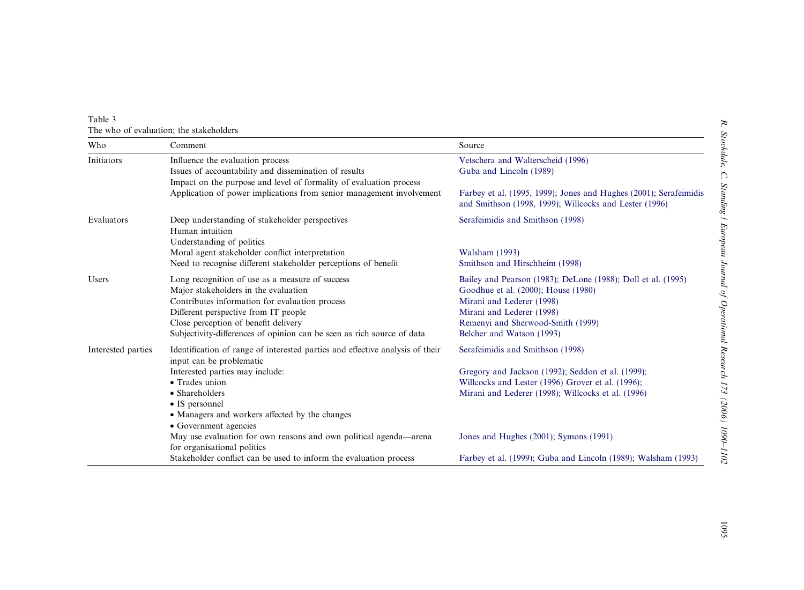| imidis |  |
|--------|--|
| 5)     |  |
|        |  |
|        |  |

R. Stockdale, C. Standing / European Journal of Operational Research 173 (2006) 1090–1102

R. Stockdale, C. Standing / European Journal of Operational Research 173 (2006) 1090-1102

<span id="page-5-0"></span>

| Table 3 | The who of evaluation; the stakeholders |        |
|---------|-----------------------------------------|--------|
| Who     | Comment                                 | Source |

| Initiators         | Influence the evaluation process<br>Issues of accountability and dissemination of results<br>Impact on the purpose and level of formality of evaluation process                                                                                                                                     | Vetschera and Walterscheid (1996)<br>Guba and Lincoln (1989)                                                                                                                                                                    |
|--------------------|-----------------------------------------------------------------------------------------------------------------------------------------------------------------------------------------------------------------------------------------------------------------------------------------------------|---------------------------------------------------------------------------------------------------------------------------------------------------------------------------------------------------------------------------------|
|                    | Application of power implications from senior management involvement                                                                                                                                                                                                                                | Farbey et al. (1995, 1999); Jones and Hughes (2001); Serafeimidis<br>and Smithson (1998, 1999); Willcocks and Lester (1996)                                                                                                     |
| Evaluators         | Deep understanding of stakeholder perspectives<br>Human intuition<br>Understanding of politics                                                                                                                                                                                                      | Serafeimidis and Smithson (1998)                                                                                                                                                                                                |
|                    | Moral agent stakeholder conflict interpretation                                                                                                                                                                                                                                                     | <b>Walsham</b> (1993)                                                                                                                                                                                                           |
|                    | Need to recognise different stakeholder perceptions of benefit                                                                                                                                                                                                                                      | Smithson and Hirschheim (1998)                                                                                                                                                                                                  |
| Users              | Long recognition of use as a measure of success<br>Major stakeholders in the evaluation<br>Contributes information for evaluation process<br>Different perspective from IT people<br>Close perception of benefit delivery<br>Subjectivity-differences of opinion can be seen as rich source of data | Bailey and Pearson (1983); DeLone (1988); Doll et al. (1995)<br>Goodhue et al. (2000); House (1980)<br>Mirani and Lederer (1998)<br>Mirani and Lederer (1998)<br>Remenyi and Sherwood-Smith (1999)<br>Belcher and Watson (1993) |
| Interested parties | Identification of range of interested parties and effective analysis of their<br>input can be problematic                                                                                                                                                                                           | Serafeimidis and Smithson (1998)                                                                                                                                                                                                |
|                    | Interested parties may include:                                                                                                                                                                                                                                                                     | Gregory and Jackson (1992); Seddon et al. (1999);                                                                                                                                                                               |
|                    | • Trades union                                                                                                                                                                                                                                                                                      | Willcocks and Lester (1996) Grover et al. (1996);                                                                                                                                                                               |
|                    | • Shareholders                                                                                                                                                                                                                                                                                      | Mirani and Lederer (1998); Willcocks et al. (1996)                                                                                                                                                                              |
|                    | • IS personnel                                                                                                                                                                                                                                                                                      |                                                                                                                                                                                                                                 |
|                    | • Managers and workers affected by the changes                                                                                                                                                                                                                                                      |                                                                                                                                                                                                                                 |
|                    | • Government agencies                                                                                                                                                                                                                                                                               |                                                                                                                                                                                                                                 |
|                    | May use evaluation for own reasons and own political agenda—arena<br>for organisational politics                                                                                                                                                                                                    | Jones and Hughes (2001); Symons (1991)                                                                                                                                                                                          |
|                    | Stakeholder conflict can be used to inform the evaluation process                                                                                                                                                                                                                                   | Farbey et al. (1999); Guba and Lincoln (1989); Walsham (1993)                                                                                                                                                                   |

Source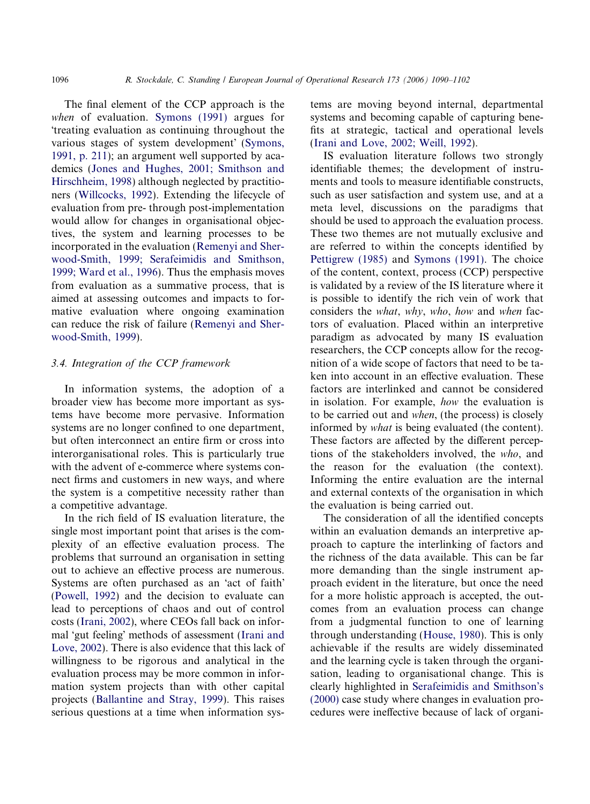The final element of the CCP approach is the when of evaluation. [Symons \(1991\)](#page-12-0) argues for treating evaluation as continuing throughout the various stages of system development' [\(Symons,](#page-12-0) [1991, p. 211](#page-12-0)); an argument well supported by academics ([Jones and Hughes, 2001; Smithson and](#page-11-0) [Hirschheim, 1998\)](#page-11-0) although neglected by practitioners [\(Willcocks, 1992\)](#page-12-0). Extending the lifecycle of evaluation from pre- through post-implementation would allow for changes in organisational objectives, the system and learning processes to be incorporated in the evaluation [\(Remenyi and Sher](#page-11-0)[wood-Smith, 1999; Serafeimidis and Smithson,](#page-11-0) [1999; Ward et al., 1996\)](#page-11-0). Thus the emphasis moves from evaluation as a summative process, that is aimed at assessing outcomes and impacts to formative evaluation where ongoing examination can reduce the risk of failure [\(Remenyi and Sher](#page-11-0)[wood-Smith, 1999\)](#page-11-0).

# 3.4. Integration of the CCP framework

In information systems, the adoption of a broader view has become more important as systems have become more pervasive. Information systems are no longer confined to one department, but often interconnect an entire firm or cross into interorganisational roles. This is particularly true with the advent of e-commerce where systems connect firms and customers in new ways, and where the system is a competitive necessity rather than a competitive advantage.

In the rich field of IS evaluation literature, the single most important point that arises is the complexity of an effective evaluation process. The problems that surround an organisation in setting out to achieve an effective process are numerous. Systems are often purchased as an 'act of faith' ([Powell, 1992\)](#page-11-0) and the decision to evaluate can lead to perceptions of chaos and out of control costs [\(Irani, 2002\)](#page-11-0), where CEOs fall back on infor-mal 'gut feeling' methods of assessment ([Irani and](#page-11-0) [Love, 2002\)](#page-11-0). There is also evidence that this lack of willingness to be rigorous and analytical in the evaluation process may be more common in information system projects than with other capital projects [\(Ballantine and Stray, 1999\)](#page-11-0). This raises serious questions at a time when information systems are moving beyond internal, departmental systems and becoming capable of capturing benefits at strategic, tactical and operational levels ([Irani and Love, 2002; Weill, 1992](#page-11-0)).

IS evaluation literature follows two strongly identifiable themes; the development of instruments and tools to measure identifiable constructs, such as user satisfaction and system use, and at a meta level, discussions on the paradigms that should be used to approach the evaluation process. These two themes are not mutually exclusive and are referred to within the concepts identified by [Pettigrew \(1985\)](#page-11-0) and [Symons \(1991\).](#page-12-0) The choice of the content, context, process (CCP) perspective is validated by a review of the IS literature where it is possible to identify the rich vein of work that considers the what, why, who, how and when factors of evaluation. Placed within an interpretive paradigm as advocated by many IS evaluation researchers, the CCP concepts allow for the recognition of a wide scope of factors that need to be taken into account in an effective evaluation. These factors are interlinked and cannot be considered in isolation. For example, how the evaluation is to be carried out and when, (the process) is closely informed by what is being evaluated (the content). These factors are affected by the different perceptions of the stakeholders involved, the who, and the reason for the evaluation (the context). Informing the entire evaluation are the internal and external contexts of the organisation in which the evaluation is being carried out.

The consideration of all the identified concepts within an evaluation demands an interpretive approach to capture the interlinking of factors and the richness of the data available. This can be far more demanding than the single instrument approach evident in the literature, but once the need for a more holistic approach is accepted, the outcomes from an evaluation process can change from a judgmental function to one of learning through understanding ([House, 1980\)](#page-11-0). This is only achievable if the results are widely disseminated and the learning cycle is taken through the organisation, leading to organisational change. This is clearly highlighted in [Serafeimidis and Smithson](#page-12-0)'s [\(2000\)](#page-12-0) case study where changes in evaluation procedures were ineffective because of lack of organi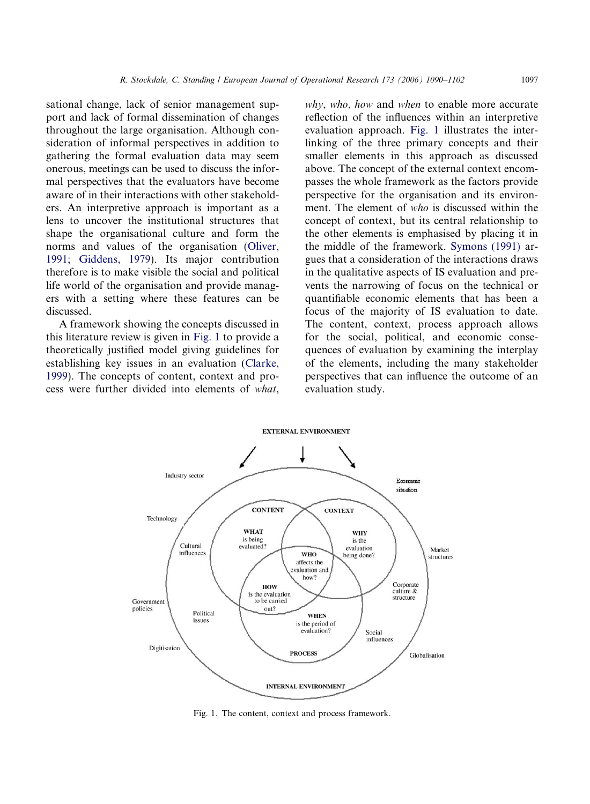<span id="page-7-0"></span>sational change, lack of senior management support and lack of formal dissemination of changes throughout the large organisation. Although consideration of informal perspectives in addition to gathering the formal evaluation data may seem onerous, meetings can be used to discuss the informal perspectives that the evaluators have become aware of in their interactions with other stakeholders. An interpretive approach is important as a lens to uncover the institutional structures that shape the organisational culture and form the norms and values of the organisation ([Oliver,](#page-11-0) [1991; Giddens, 1979\)](#page-11-0). Its major contribution therefore is to make visible the social and political life world of the organisation and provide managers with a setting where these features can be discussed.

A framework showing the concepts discussed in this literature review is given in Fig. 1 to provide a theoretically justified model giving guidelines for establishing key issues in an evaluation [\(Clarke,](#page-11-0) [1999](#page-11-0)). The concepts of content, context and process were further divided into elements of what,

why, who, how and when to enable more accurate reflection of the influences within an interpretive evaluation approach. Fig. 1 illustrates the interlinking of the three primary concepts and their smaller elements in this approach as discussed above. The concept of the external context encompasses the whole framework as the factors provide perspective for the organisation and its environment. The element of who is discussed within the concept of context, but its central relationship to the other elements is emphasised by placing it in the middle of the framework. [Symons \(1991\)](#page-12-0) argues that a consideration of the interactions draws in the qualitative aspects of IS evaluation and prevents the narrowing of focus on the technical or quantifiable economic elements that has been a focus of the majority of IS evaluation to date. The content, context, process approach allows for the social, political, and economic consequences of evaluation by examining the interplay of the elements, including the many stakeholder perspectives that can influence the outcome of an evaluation study.



Fig. 1. The content, context and process framework.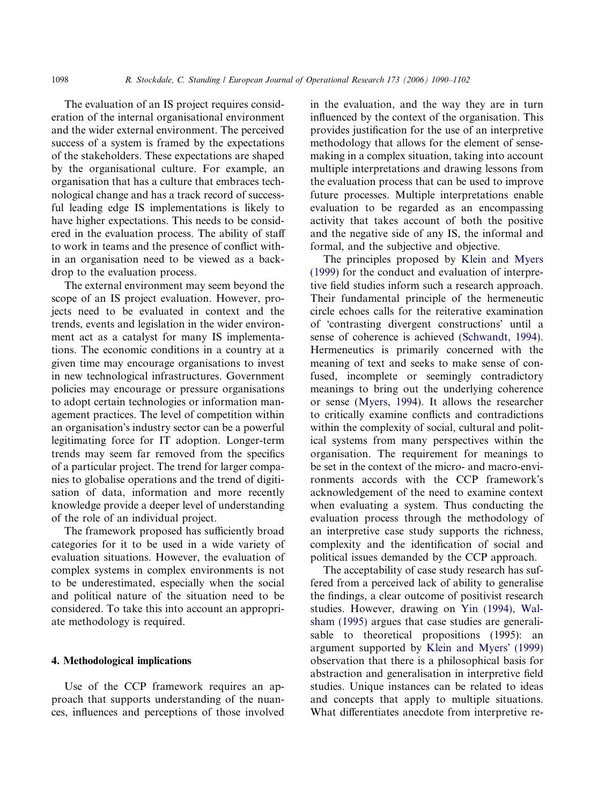The evaluation of an IS project requires consideration of the internal organisational environment and the wider external environment. The perceived success of a system is framed by the expectations of the stakeholders. These expectations are shaped by the organisational culture. For example, an organisation that has a culture that embraces technological change and has a track record of successful leading edge IS implementations is likely to have higher expectations. This needs to be considered in the evaluation process. The ability of staff to work in teams and the presence of conflict within an organisation need to be viewed as a backdrop to the evaluation process.

The external environment may seem beyond the scope of an IS project evaluation. However, projects need to be evaluated in context and the trends, events and legislation in the wider environment act as a catalyst for many IS implementations. The economic conditions in a country at a given time may encourage organisations to invest in new technological infrastructures. Government policies may encourage or pressure organisations to adopt certain technologies or information management practices. The level of competition within an organisation's industry sector can be a powerful legitimating force for IT adoption. Longer-term trends may seem far removed from the specifics of a particular project. The trend for larger companies to globalise operations and the trend of digitisation of data, information and more recently knowledge provide a deeper level of understanding of the role of an individual project.

The framework proposed has sufficiently broad categories for it to be used in a wide variety of evaluation situations. However, the evaluation of complex systems in complex environments is not to be underestimated, especially when the social and political nature of the situation need to be considered. To take this into account an appropriate methodology is required.

## 4. Methodological implications

Use of the CCP framework requires an approach that supports understanding of the nuances, influences and perceptions of those involved in the evaluation, and the way they are in turn influenced by the context of the organisation. This provides justification for the use of an interpretive methodology that allows for the element of sensemaking in a complex situation, taking into account multiple interpretations and drawing lessons from the evaluation process that can be used to improve future processes. Multiple interpretations enable evaluation to be regarded as an encompassing activity that takes account of both the positive and the negative side of any IS, the informal and formal, and the subjective and objective.

The principles proposed by [Klein and Myers](#page-11-0) [\(1999\)](#page-11-0) for the conduct and evaluation of interpretive field studies inform such a research approach. Their fundamental principle of the hermeneutic circle echoes calls for the reiterative examination of 'contrasting divergent constructions' until a sense of coherence is achieved ([Schwandt, 1994\)](#page-12-0). Hermeneutics is primarily concerned with the meaning of text and seeks to make sense of confused, incomplete or seemingly contradictory meanings to bring out the underlying coherence or sense ([Myers, 1994](#page-11-0)). It allows the researcher to critically examine conflicts and contradictions within the complexity of social, cultural and political systems from many perspectives within the organisation. The requirement for meanings to be set in the context of the micro- and macro-environments accords with the CCP framework's acknowledgement of the need to examine context when evaluating a system. Thus conducting the evaluation process through the methodology of an interpretive case study supports the richness, complexity and the identification of social and political issues demanded by the CCP approach.

The acceptability of case study research has suffered from a perceived lack of ability to generalise the findings, a clear outcome of positivist research studies. However, drawing on [Yin \(1994\), Wal](#page-12-0)[sham \(1995\)](#page-12-0) argues that case studies are generalisable to theoretical propositions (1995): an argument supported by [Klein and Myers](#page-11-0)' (1999) observation that there is a philosophical basis for abstraction and generalisation in interpretive field studies. Unique instances can be related to ideas and concepts that apply to multiple situations. What differentiates anecdote from interpretive re-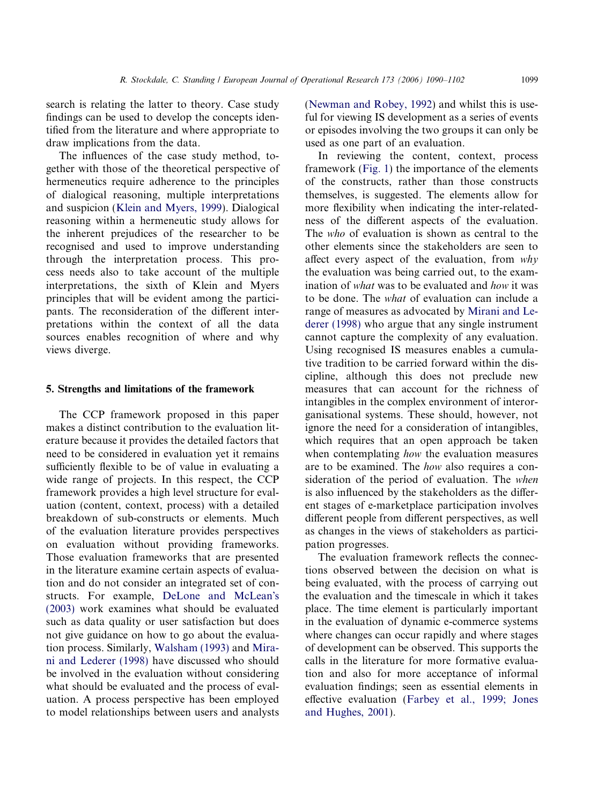search is relating the latter to theory. Case study findings can be used to develop the concepts identified from the literature and where appropriate to draw implications from the data.

The influences of the case study method, together with those of the theoretical perspective of hermeneutics require adherence to the principles of dialogical reasoning, multiple interpretations and suspicion [\(Klein and Myers, 1999\)](#page-11-0). Dialogical reasoning within a hermeneutic study allows for the inherent prejudices of the researcher to be recognised and used to improve understanding through the interpretation process. This process needs also to take account of the multiple interpretations, the sixth of Klein and Myers principles that will be evident among the participants. The reconsideration of the different interpretations within the context of all the data sources enables recognition of where and why views diverge.

#### 5. Strengths and limitations of the framework

The CCP framework proposed in this paper makes a distinct contribution to the evaluation literature because it provides the detailed factors that need to be considered in evaluation yet it remains sufficiently flexible to be of value in evaluating a wide range of projects. In this respect, the CCP framework provides a high level structure for evaluation (content, context, process) with a detailed breakdown of sub-constructs or elements. Much of the evaluation literature provides perspectives on evaluation without providing frameworks. Those evaluation frameworks that are presented in the literature examine certain aspects of evaluation and do not consider an integrated set of con-structs. For example, [DeLone and McLean](#page-11-0)'s [\(2003\)](#page-11-0) work examines what should be evaluated such as data quality or user satisfaction but does not give guidance on how to go about the evaluation process. Similarly, [Walsham \(1993\)](#page-12-0) and [Mira](#page-11-0)[ni and Lederer \(1998\)](#page-11-0) have discussed who should be involved in the evaluation without considering what should be evaluated and the process of evaluation. A process perspective has been employed to model relationships between users and analysts

([Newman and Robey, 1992\)](#page-11-0) and whilst this is useful for viewing IS development as a series of events or episodes involving the two groups it can only be used as one part of an evaluation.

In reviewing the content, context, process framework [\(Fig. 1](#page-7-0)) the importance of the elements of the constructs, rather than those constructs themselves, is suggested. The elements allow for more flexibility when indicating the inter-relatedness of the different aspects of the evaluation. The *who* of evaluation is shown as central to the other elements since the stakeholders are seen to affect every aspect of the evaluation, from why the evaluation was being carried out, to the examination of what was to be evaluated and how it was to be done. The what of evaluation can include a range of measures as advocated by [Mirani and Le](#page-11-0)[derer \(1998\)](#page-11-0) who argue that any single instrument cannot capture the complexity of any evaluation. Using recognised IS measures enables a cumulative tradition to be carried forward within the discipline, although this does not preclude new measures that can account for the richness of intangibles in the complex environment of interorganisational systems. These should, however, not ignore the need for a consideration of intangibles, which requires that an open approach be taken when contemplating *how* the evaluation measures are to be examined. The how also requires a consideration of the period of evaluation. The when is also influenced by the stakeholders as the different stages of e-marketplace participation involves different people from different perspectives, as well as changes in the views of stakeholders as participation progresses.

The evaluation framework reflects the connections observed between the decision on what is being evaluated, with the process of carrying out the evaluation and the timescale in which it takes place. The time element is particularly important in the evaluation of dynamic e-commerce systems where changes can occur rapidly and where stages of development can be observed. This supports the calls in the literature for more formative evaluation and also for more acceptance of informal evaluation findings; seen as essential elements in effective evaluation [\(Farbey et al., 1999; Jones](#page-11-0) [and Hughes, 2001](#page-11-0)).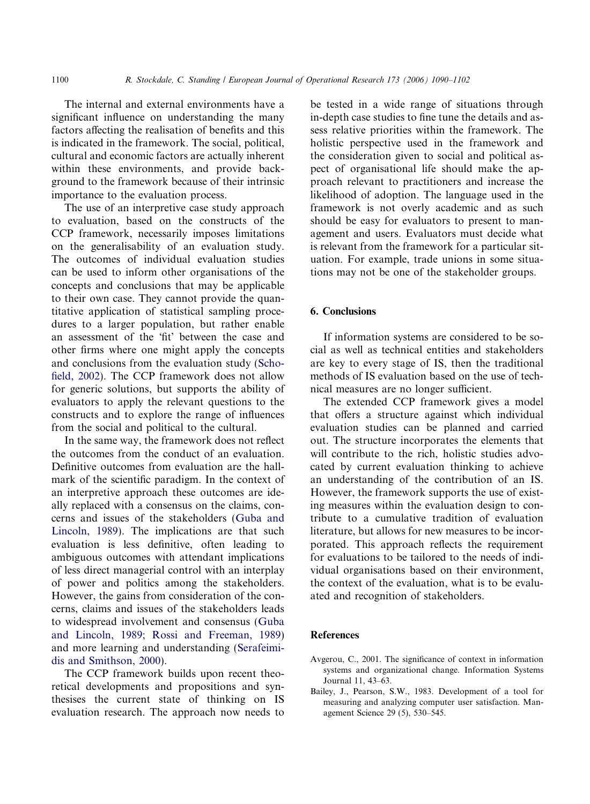<span id="page-10-0"></span>

The internal and external environments have a significant influence on understanding the many factors affecting the realisation of benefits and this is indicated in the framework. The social, political, cultural and economic factors are actually inherent within these environments, and provide background to the framework because of their intrinsic importance to the evaluation process.

The use of an interpretive case study approach to evaluation, based on the constructs of the CCP framework, necessarily imposes limitations on the generalisability of an evaluation study. The outcomes of individual evaluation studies can be used to inform other organisations of the concepts and conclusions that may be applicable to their own case. They cannot provide the quantitative application of statistical sampling procedures to a larger population, but rather enable an assessment of the 'fit' between the case and other firms where one might apply the concepts and conclusions from the evaluation study [\(Scho](#page-11-0)[field, 2002](#page-11-0)). The CCP framework does not allow for generic solutions, but supports the ability of evaluators to apply the relevant questions to the constructs and to explore the range of influences from the social and political to the cultural.

In the same way, the framework does not reflect the outcomes from the conduct of an evaluation. Definitive outcomes from evaluation are the hallmark of the scientific paradigm. In the context of an interpretive approach these outcomes are ideally replaced with a consensus on the claims, concerns and issues of the stakeholders ([Guba and](#page-11-0) [Lincoln, 1989\)](#page-11-0). The implications are that such evaluation is less definitive, often leading to ambiguous outcomes with attendant implications of less direct managerial control with an interplay of power and politics among the stakeholders. However, the gains from consideration of the concerns, claims and issues of the stakeholders leads to widespread involvement and consensus [\(Guba](#page-11-0) [and Lincoln, 1989; Rossi and Freeman, 1989](#page-11-0)) and more learning and understanding [\(Serafeimi](#page-12-0)[dis and Smithson, 2000](#page-12-0)).

The CCP framework builds upon recent theoretical developments and propositions and synthesises the current state of thinking on IS evaluation research. The approach now needs to be tested in a wide range of situations through in-depth case studies to fine tune the details and assess relative priorities within the framework. The holistic perspective used in the framework and the consideration given to social and political aspect of organisational life should make the approach relevant to practitioners and increase the likelihood of adoption. The language used in the framework is not overly academic and as such should be easy for evaluators to present to management and users. Evaluators must decide what is relevant from the framework for a particular situation. For example, trade unions in some situations may not be one of the stakeholder groups.

### 6. Conclusions

If information systems are considered to be social as well as technical entities and stakeholders are key to every stage of IS, then the traditional methods of IS evaluation based on the use of technical measures are no longer sufficient.

The extended CCP framework gives a model that offers a structure against which individual evaluation studies can be planned and carried out. The structure incorporates the elements that will contribute to the rich, holistic studies advocated by current evaluation thinking to achieve an understanding of the contribution of an IS. However, the framework supports the use of existing measures within the evaluation design to contribute to a cumulative tradition of evaluation literature, but allows for new measures to be incorporated. This approach reflects the requirement for evaluations to be tailored to the needs of individual organisations based on their environment, the context of the evaluation, what is to be evaluated and recognition of stakeholders.

### **References**

- Avgerou, C., 2001. The significance of context in information systems and organizational change. Information Systems Journal 11, 43–63.
- Bailey, J., Pearson, S.W., 1983. Development of a tool for measuring and analyzing computer user satisfaction. Management Science 29 (5), 530–545.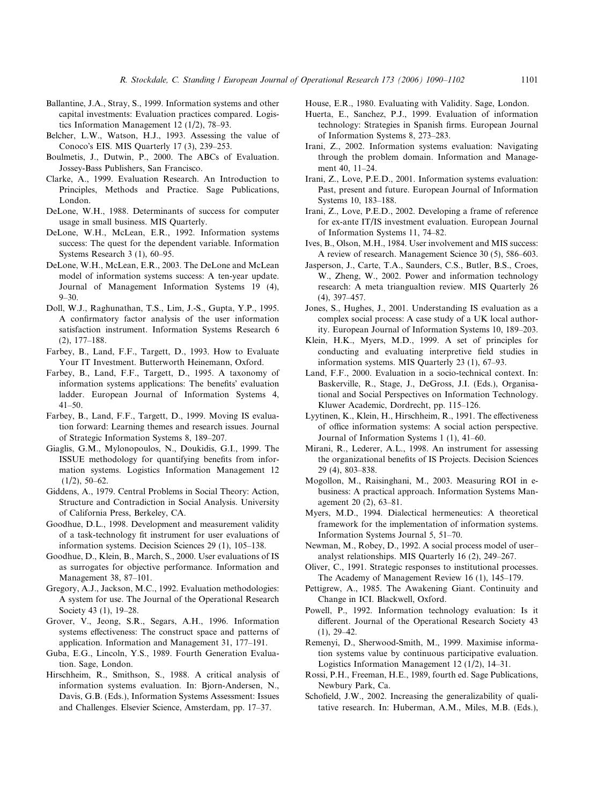- <span id="page-11-0"></span>Ballantine, J.A., Stray, S., 1999. Information systems and other capital investments: Evaluation practices compared. Logistics Information Management 12 (1/2), 78–93.
- Belcher, L.W., Watson, H.J., 1993. Assessing the value of Conoco's EIS. MIS Quarterly 17 (3), 239–253.
- Boulmetis, J., Dutwin, P., 2000. The ABCs of Evaluation. Jossey-Bass Publishers, San Francisco.
- Clarke, A., 1999. Evaluation Research. An Introduction to Principles, Methods and Practice. Sage Publications, London.
- DeLone, W.H., 1988. Determinants of success for computer usage in small business. MIS Quarterly.
- DeLone, W.H., McLean, E.R., 1992. Information systems success: The quest for the dependent variable. Information Systems Research 3 (1), 60–95.
- DeLone, W.H., McLean, E.R., 2003. The DeLone and McLean model of information systems success: A ten-year update. Journal of Management Information Systems 19 (4),  $9 - 30.$
- Doll, W.J., Raghunathan, T.S., Lim, J.-S., Gupta, Y.P., 1995. A confirmatory factor analysis of the user information satisfaction instrument. Information Systems Research 6 (2), 177–188.
- Farbey, B., Land, F.F., Targett, D., 1993. How to Evaluate Your IT Investment. Butterworth Heinemann, Oxford.
- Farbey, B., Land, F.F., Targett, D., 1995. A taxonomy of information systems applications: The benefits' evaluation ladder. European Journal of Information Systems 4, 41–50.
- Farbey, B., Land, F.F., Targett, D., 1999. Moving IS evaluation forward: Learning themes and research issues. Journal of Strategic Information Systems 8, 189–207.
- Giaglis, G.M., Mylonopoulos, N., Doukidis, G.I., 1999. The ISSUE methodology for quantifying benefits from information systems. Logistics Information Management 12  $(1/2)$ , 50–62.
- Giddens, A., 1979. Central Problems in Social Theory: Action, Structure and Contradiction in Social Analysis. University of California Press, Berkeley, CA.
- Goodhue, D.L., 1998. Development and measurement validity of a task-technology fit instrument for user evaluations of information systems. Decision Sciences 29 (1), 105–138.
- Goodhue, D., Klein, B., March, S., 2000. User evaluations of IS as surrogates for objective performance. Information and Management 38, 87–101.
- Gregory, A.J., Jackson, M.C., 1992. Evaluation methodologies: A system for use. The Journal of the Operational Research Society 43 (1), 19–28.
- Grover, V., Jeong, S.R., Segars, A.H., 1996. Information systems effectiveness: The construct space and patterns of application. Information and Management 31, 177–191.
- Guba, E.G., Lincoln, Y.S., 1989. Fourth Generation Evaluation. Sage, London.
- Hirschheim, R., Smithson, S., 1988. A critical analysis of information systems evaluation. In: Bjorn-Andersen, N., Davis, G.B. (Eds.), Information Systems Assessment: Issues and Challenges. Elsevier Science, Amsterdam, pp. 17–37.

House, E.R., 1980. Evaluating with Validity. Sage, London.

- Huerta, E., Sanchez, P.J., 1999. Evaluation of information technology: Strategies in Spanish firms. European Journal of Information Systems 8, 273–283.
- Irani, Z., 2002. Information systems evaluation: Navigating through the problem domain. Information and Management 40, 11–24.
- Irani, Z., Love, P.E.D., 2001. Information systems evaluation: Past, present and future. European Journal of Information Systems 10, 183–188.
- Irani, Z., Love, P.E.D., 2002. Developing a frame of reference for ex-ante IT/IS investment evaluation. European Journal of Information Systems 11, 74–82.
- Ives, B., Olson, M.H., 1984. User involvement and MIS success: A review of research. Management Science 30 (5), 586–603.
- Jasperson, J., Carte, T.A., Saunders, C.S., Butler, B.S., Croes, W., Zheng, W., 2002. Power and information technology research: A meta triangualtion review. MIS Quarterly 26 (4), 397–457.
- Jones, S., Hughes, J., 2001. Understanding IS evaluation as a complex social process: A case study of a UK local authority. European Journal of Information Systems 10, 189–203.
- Klein, H.K., Myers, M.D., 1999. A set of principles for conducting and evaluating interpretive field studies in information systems. MIS Quarterly 23 (1), 67–93.
- Land, F.F., 2000. Evaluation in a socio-technical context. In: Baskerville, R., Stage, J., DeGross, J.I. (Eds.), Organisational and Social Perspectives on Information Technology. Kluwer Academic, Dordrecht, pp. 115–126.
- Lyytinen, K., Klein, H., Hirschheim, R., 1991. The effectiveness of office information systems: A social action perspective. Journal of Information Systems 1 (1), 41–60.
- Mirani, R., Lederer, A.L., 1998. An instrument for assessing the organizational benefits of IS Projects. Decision Sciences 29 (4), 803–838.
- Mogollon, M., Raisinghani, M., 2003. Measuring ROI in ebusiness: A practical approach. Information Systems Management 20 (2), 63–81.
- Myers, M.D., 1994. Dialectical hermeneutics: A theoretical framework for the implementation of information systems. Information Systems Journal 5, 51–70.
- Newman, M., Robey, D., 1992. A social process model of user– analyst relationships. MIS Quarterly 16 (2), 249–267.
- Oliver, C., 1991. Strategic responses to institutional processes. The Academy of Management Review 16 (1), 145–179.
- Pettigrew, A., 1985. The Awakening Giant. Continuity and Change in ICI. Blackwell, Oxford.
- Powell, P., 1992. Information technology evaluation: Is it different. Journal of the Operational Research Society 43  $(1), 29-42.$
- Remenyi, D., Sherwood-Smith, M., 1999. Maximise information systems value by continuous participative evaluation. Logistics Information Management 12 (1/2), 14–31.
- Rossi, P.H., Freeman, H.E., 1989, fourth ed. Sage Publications, Newbury Park, Ca.
- Schofield, J.W., 2002. Increasing the generalizability of qualitative research. In: Huberman, A.M., Miles, M.B. (Eds.),